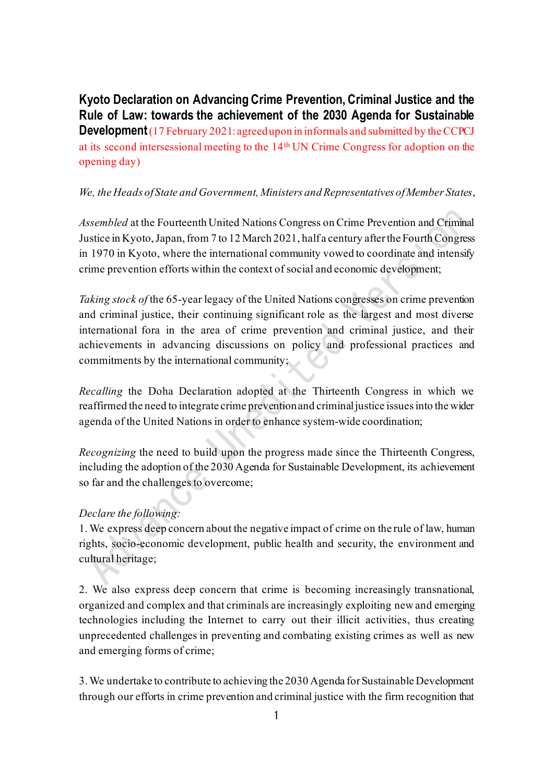**Kyoto Declaration on Advancing Crime Prevention, Criminal Justice and the Rule of Law: towards the achievement of the 2030 Agenda for Sustainable Development**(17 February 2021: agreed upon in informals and submitted by the CCPCJ at its second intersessional meeting to the 14th UN Crime Congress for adoption on the opening day)

## *We, the Heads of State and Government, Ministers and Representatives of Member States*,

*Assembled* at the Fourteenth United Nations Congress on Crime Prevention and Criminal Justice in Kyoto, Japan, from 7 to 12 March 2021, half a century afterthe Fourth Congress in 1970 in Kyoto, where the international community vowed to coordinate and intensify crime prevention efforts within the context of social and economic development;

*Taking stock of* the 65-year legacy of the United Nations congresses on crime prevention and criminal justice, their continuing significant role as the largest and most diverse international fora in the area of crime prevention and criminal justice, and their achievements in advancing discussions on policy and professional practices and commitments by the international community;

*Recalling* the Doha Declaration adopted at the Thirteenth Congress in which we reaffirmed the need to integrate crime prevention and criminal justice issues into the wider agenda of the United Nations in order to enhance system-wide coordination;

*Recognizing* the need to build upon the progress made since the Thirteenth Congress, including the adoption of the 2030 Agenda for Sustainable Development, its achievement so far and the challenges to overcome;

## *Declare the following:*

1. We express deep concern about the negative impact of crime on the rule of law, human rights, socio-economic development, public health and security, the environment and cultural heritage;

2. We also express deep concern that crime is becoming increasingly transnational, organized and complex and that criminals are increasingly exploiting new and emerging technologies including the Internet to carry out their illicit activities, thus creating unprecedented challenges in preventing and combating existing crimes as well as new and emerging forms of crime;

3.We undertake to contribute to achieving the 2030 Agenda for Sustainable Development through our efforts in crime prevention and criminal justice with the firm recognition that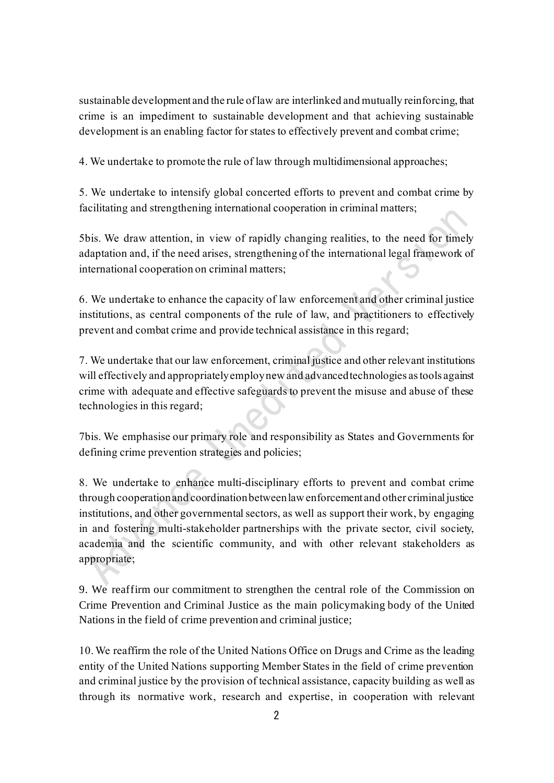sustainable development and the rule of law are interlinked and mutually reinforcing, that crime is an impediment to sustainable development and that achieving sustainable development is an enabling factor for states to effectively prevent and combat crime;

4. We undertake to promote the rule of law through multidimensional approaches;

5. We undertake to intensify global concerted efforts to prevent and combat crime by facilitating and strengthening international cooperation in criminal matters;

5bis. We draw attention, in view of rapidly changing realities, to the need for timely adaptation and, if the need arises, strengthening of the international legal framework of international cooperation on criminal matters;

6. We undertake to enhance the capacity of law enforcement and other criminal justice institutions, as central components of the rule of law, and practitioners to effectively prevent and combat crime and provide technical assistance in this regard;

7. We undertake that our law enforcement, criminal justice and other relevant institutions will effectively and appropriately employ new and advanced technologies as tools against crime with adequate and effective safeguards to prevent the misuse and abuse of these technologies in this regard;

7bis. We emphasise our primary role and responsibility as States and Governments for defining crime prevention strategies and policies;

8. We undertake to enhance multi-disciplinary efforts to prevent and combat crime through cooperation and coordination between law enforcement and other criminal justice institutions, and other governmental sectors, as well as support their work, by engaging in and fostering multi-stakeholder partnerships with the private sector, civil society, academia and the scientific community, and with other relevant stakeholders as appropriate;

9. We reaffirm our commitment to strengthen the central role of the Commission on Crime Prevention and Criminal Justice as the main policymaking body of the United Nations in the field of crime prevention and criminal justice;

10. We reaffirm the role of the United Nations Office on Drugs and Crime as the leading entity of the United Nations supporting Member States in the field of crime prevention and criminal justice by the provision of technical assistance, capacity building as well as through its normative work, research and expertise, in cooperation with relevant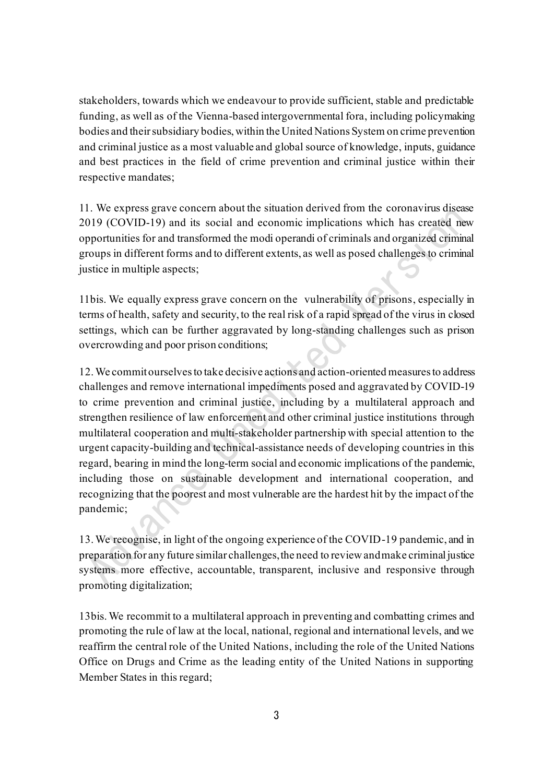stakeholders, towards which we endeavour to provide sufficient, stable and predictable funding, as well as of the Vienna-based intergovernmental fora, including policymaking bodies and their subsidiary bodies, within the United Nations System on crime prevention and criminal justice as a most valuable and global source of knowledge, inputs, guidance and best practices in the field of crime prevention and criminal justice within their respective mandates;

11. We express grave concern about the situation derived from the coronavirus disease 2019 (COVID-19) and its social and economic implications which has created new opportunities for and transformed the modi operandi of criminals and organized criminal groups in different forms and to different extents, as well as posed challenges to criminal justice in multiple aspects;

11bis. We equally express grave concern on the vulnerability of prisons, especially in terms of health, safety and security, to the real risk of a rapid spread of the virus in closed settings, which can be further aggravated by long-standing challenges such as prison overcrowding and poor prison conditions;

12. We commit ourselves to take decisive actions and action-oriented measures to address challenges and remove international impediments posed and aggravated by COVID-19 to crime prevention and criminal justice, including by a multilateral approach and strengthen resilience of law enforcement and other criminal justice institutions through multilateral cooperation and multi-stakeholder partnership with special attention to the urgent capacity-building and technical-assistance needs of developing countries in this regard, bearing in mind the long-term social and economic implications of the pandemic, including those on sustainable development and international cooperation, and recognizing that the poorest and most vulnerable are the hardest hit by the impact of the pandemic;

13. We recognise, in light of the ongoing experience of the COVID-19 pandemic, and in preparation for any future similar challenges, the need to review and make criminal justice systems more effective, accountable, transparent, inclusive and responsive through promoting digitalization;

13bis. We recommit to a multilateral approach in preventing and combatting crimes and promoting the rule of law at the local, national, regional and international levels, and we reaffirm the central role of the United Nations, including the role of the United Nations Office on Drugs and Crime as the leading entity of the United Nations in supporting Member States in this regard;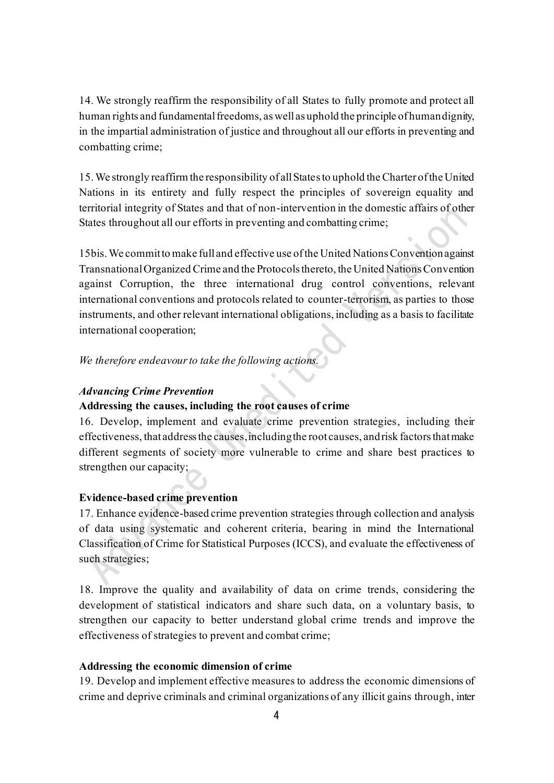14. We strongly reaffirm the responsibility of all States to fully promote and protect all human rights and fundamental freedoms, as well as uphold the principle of human dignity, in the impartial administration of justice and throughout all our efforts in preventing and combatting crime;

15. We strongly reaffirm the responsibility of all States to uphold the Charter of the United Nations in its entirety and fully respect the principles of sovereign equality and territorial integrity of States and that of non-intervention in the domestic affairs of other States throughout all our efforts in preventing and combatting crime;

15bis.We commit to make full and effective use of the United Nations Convention against Transnational Organized Crime and the Protocols thereto, the United Nations Convention against Corruption, the three international drug control conventions, relevant international conventions and protocols related to counter-terrorism, as parties to those instruments, and other relevant international obligations, including as a basis to facilitate international cooperation;

*We therefore endeavour to take the following actions.*

### *Advancing Crime Prevention*

## **Addressing the causes, including the root causes of crime**

16. Develop, implement and evaluate crime prevention strategies, including their effectiveness, that address the causes, including the root causes, and risk factors that make different segments of society more vulnerable to crime and share best practices to strengthen our capacity;

## **Evidence-based crime prevention**

17. Enhance evidence-based crime prevention strategies through collection and analysis of data using systematic and coherent criteria, bearing in mind the International Classification of Crime for Statistical Purposes (ICCS), and evaluate the effectiveness of such strategies;

18. Improve the quality and availability of data on crime trends, considering the development of statistical indicators and share such data, on a voluntary basis, to strengthen our capacity to better understand global crime trends and improve the effectiveness of strategies to prevent and combat crime;

## **Addressing the economic dimension of crime**

19. Develop and implement effective measures to address the economic dimensions of crime and deprive criminals and criminal organizations of any illicit gains through, inter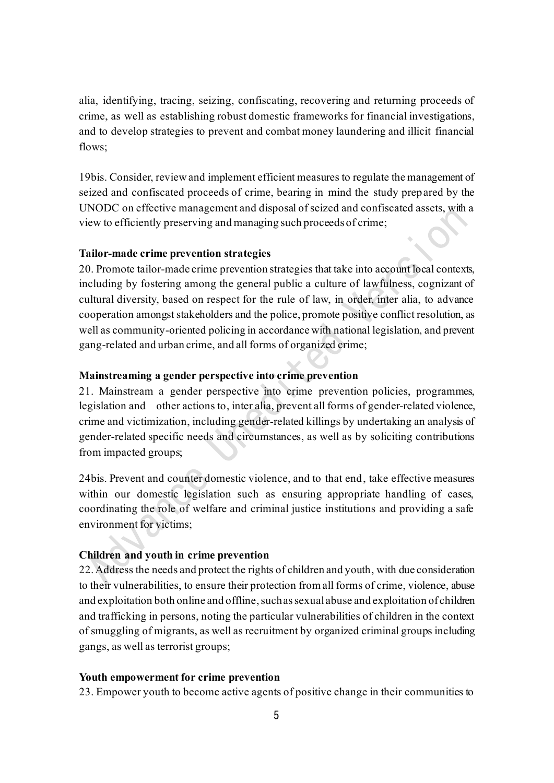alia, identifying, tracing, seizing, confiscating, recovering and returning proceeds of crime, as well as establishing robust domestic frameworks for financial investigations, and to develop strategies to prevent and combat money laundering and illicit financial flows;

19bis. Consider, review and implement efficient measures to regulate the management of seized and confiscated proceeds of crime, bearing in mind the study prepared by the UNODC on effective management and disposal of seized and confiscated assets, with a view to efficiently preserving and managing such proceeds of crime;

### **Tailor-made crime prevention strategies**

20. Promote tailor-made crime prevention strategies that take into account local contexts, including by fostering among the general public a culture of lawfulness, cognizant of cultural diversity, based on respect for the rule of law, in order, inter alia, to advance cooperation amongst stakeholders and the police, promote positive conflict resolution, as well as community-oriented policing in accordance with national legislation, and prevent gang-related and urban crime, and all forms of organized crime;

### **Mainstreaming a gender perspective into crime prevention**

21. Mainstream a gender perspective into crime prevention policies, programmes, legislation and other actions to, inter alia, prevent all forms of gender-related violence, crime and victimization, including gender-related killings by undertaking an analysis of gender-related specific needs and circumstances, as well as by soliciting contributions from impacted groups;

24bis. Prevent and counter domestic violence, and to that end, take effective measures within our domestic legislation such as ensuring appropriate handling of cases, coordinating the role of welfare and criminal justice institutions and providing a safe environment for victims;

## **Children and youth in crime prevention**

22. Address the needs and protect the rights of children and youth, with due consideration to their vulnerabilities, to ensure their protection from all forms of crime, violence, abuse and exploitation both online and offline, such as sexual abuse and exploitation of children and trafficking in persons, noting the particular vulnerabilities of children in the context of smuggling of migrants, as well as recruitment by organized criminal groups including gangs, as well as terrorist groups;

### **Youth empowerment for crime prevention**

23. Empower youth to become active agents of positive change in their communities to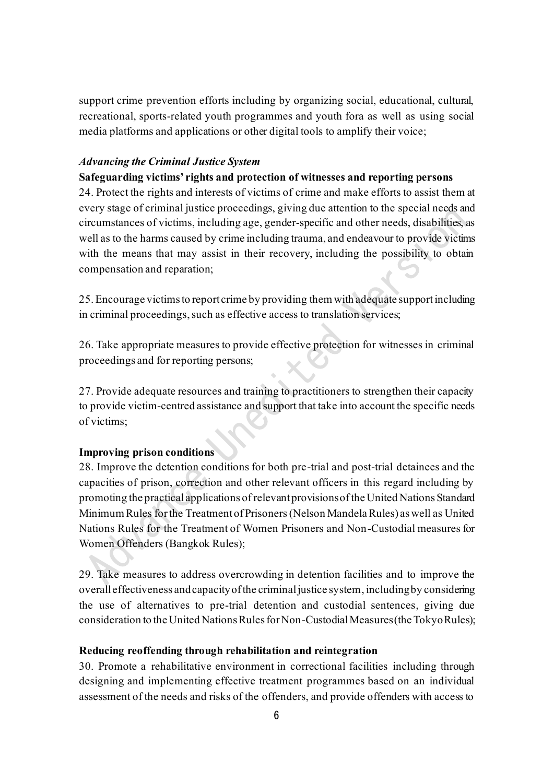support crime prevention efforts including by organizing social, educational, cultural, recreational, sports-related youth programmes and youth fora as well as using social media platforms and applications or other digital tools to amplify their voice;

### *Advancing the Criminal Justice System*

## **Safeguarding victims' rights and protection of witnesses and reporting persons**

24. Protect the rights and interests of victims of crime and make efforts to assist them at every stage of criminal justice proceedings, giving due attention to the special needs and circumstances of victims, including age, gender-specific and other needs, disabilities, as well as to the harms caused by crime including trauma, and endeavour to provide victims with the means that may assist in their recovery, including the possibility to obtain compensation and reparation;

25. Encourage victims to report crime by providing them with adequate support including in criminal proceedings, such as effective access to translation services;

26. Take appropriate measures to provide effective protection for witnesses in criminal proceedings and for reporting persons;

27. Provide adequate resources and training to practitioners to strengthen their capacity to provide victim-centred assistance and support that take into account the specific needs of victims;

### **Improving prison conditions**

28. Improve the detention conditions for both pre-trial and post-trial detainees and the capacities of prison, correction and other relevant officers in this regard including by promoting the practical applications of relevant provisions ofthe United Nations Standard Minimum Rules for the Treatment of Prisoners(Nelson Mandela Rules) as well as United Nations Rules for the Treatment of Women Prisoners and Non-Custodial measures for Women Offenders (Bangkok Rules);

29. Take measures to address overcrowding in detention facilities and to improve the overall effectiveness and capacity of the criminal justice system, including by considering the use of alternatives to pre-trial detention and custodial sentences, giving due consideration to the United Nations Rules for Non-Custodial Measures (the Tokyo Rules);

### **Reducing reoffending through rehabilitation and reintegration**

30. Promote a rehabilitative environment in correctional facilities including through designing and implementing effective treatment programmes based on an individual assessment of the needs and risks of the offenders, and provide offenders with access to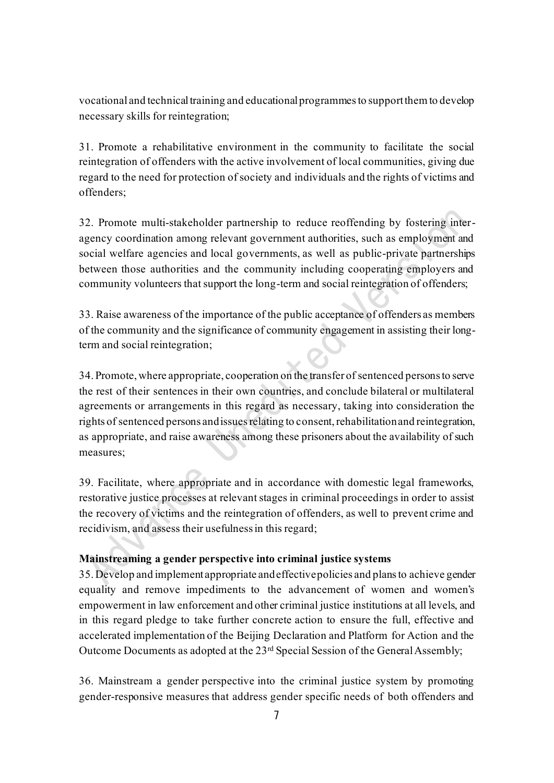vocational and technical training and educational programmes to support them to develop necessary skills for reintegration;

31. Promote a rehabilitative environment in the community to facilitate the social reintegration of offenders with the active involvement of local communities, giving due regard to the need for protection of society and individuals and the rights of victims and offenders;

32. Promote multi-stakeholder partnership to reduce reoffending by fostering interagency coordination among relevant government authorities, such as employment and social welfare agencies and local governments, as well as public-private partnerships between those authorities and the community including cooperating employers and community volunteers that support the long-term and social reintegration of offenders;

33. Raise awareness of the importance of the public acceptance of offenders as members of the community and the significance of community engagement in assisting their longterm and social reintegration;

34. Promote, where appropriate, cooperation on the transfer of sentenced persons to serve the rest of their sentences in their own countries, and conclude bilateral or multilateral agreements or arrangements in this regard as necessary, taking into consideration the rights of sentenced persons and issues relating to consent, rehabilitation and reintegration, as appropriate, and raise awareness among these prisoners about the availability of such measures;

39. Facilitate, where appropriate and in accordance with domestic legal frameworks, restorative justice processes at relevant stages in criminal proceedings in order to assist the recovery of victims and the reintegration of offenders, as well to prevent crime and recidivism, and assess their usefulness in this regard;

## **Mainstreaming a gender perspective into criminal justice systems**

35. Develop and implement appropriate and effective policies and plans to achieve gender equality and remove impediments to the advancement of women and women's empowerment in law enforcement and other criminal justice institutions at all levels, and in this regard pledge to take further concrete action to ensure the full, effective and accelerated implementation of the Beijing Declaration and Platform for Action and the Outcome Documents as adopted at the 23rd Special Session of the General Assembly;

36. Mainstream a gender perspective into the criminal justice system by promoting gender-responsive measures that address gender specific needs of both offenders and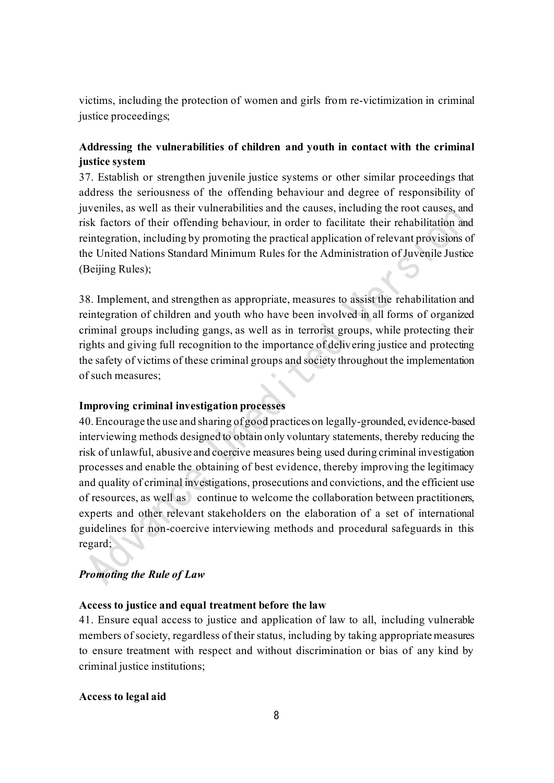victims, including the protection of women and girls from re-victimization in criminal justice proceedings;

# **Addressing the vulnerabilities of children and youth in contact with the criminal justice system**

37. Establish or strengthen juvenile justice systems or other similar proceedings that address the seriousness of the offending behaviour and degree of responsibility of juveniles, as well as their vulnerabilities and the causes, including the root causes, and risk factors of their offending behaviour, in order to facilitate their rehabilitation and reintegration, including by promoting the practical application of relevant provisions of the United Nations Standard Minimum Rules for the Administration of Juvenile Justice (Beijing Rules);

38. Implement, and strengthen as appropriate, measures to assist the rehabilitation and reintegration of children and youth who have been involved in all forms of organized criminal groups including gangs, as well as in terrorist groups, while protecting their rights and giving full recognition to the importance of delivering justice and protecting the safety of victims of these criminal groups and society throughout the implementation of such measures;

## **Improving criminal investigation processes**

40. Encourage the use and sharing of good practices on legally-grounded, evidence-based interviewing methods designed to obtain only voluntary statements, thereby reducing the risk of unlawful, abusive and coercive measures being used during criminal investigation processes and enable the obtaining of best evidence, thereby improving the legitimacy and quality of criminal investigations, prosecutions and convictions, and the efficient use of resources, as well as continue to welcome the collaboration between practitioners, experts and other relevant stakeholders on the elaboration of a set of international guidelines for non-coercive interviewing methods and procedural safeguards in this regard;

## *Promoting the Rule of Law*

### **Access to justice and equal treatment before the law**

41. Ensure equal access to justice and application of law to all, including vulnerable members of society, regardless of their status, including by taking appropriate measures to ensure treatment with respect and without discrimination or bias of any kind by criminal justice institutions;

### **Access to legal aid**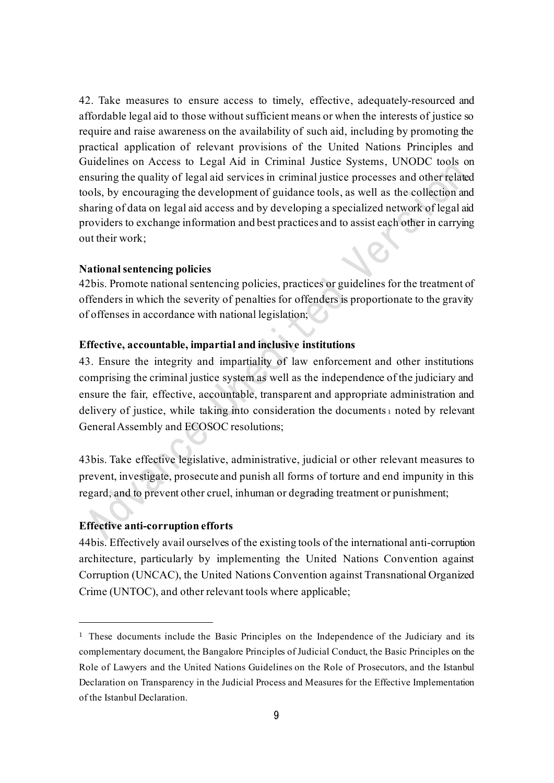42. Take measures to ensure access to timely, effective, adequately-resourced and affordable legal aid to those without sufficient means or when the interests of justice so require and raise awareness on the availability of such aid, including by promoting the practical application of relevant provisions of the United Nations Principles and Guidelines on Access to Legal Aid in Criminal Justice Systems, UNODC tools on ensuring the quality of legal aid services in criminal justice processes and other related tools, by encouraging the development of guidance tools, as well as the collection and sharing of data on legal aid access and by developing a specialized network of legal aid providers to exchange information and best practices and to assist each other in carrying out their work; 18

### **National sentencing policies**

42bis. Promote national sentencing policies, practices or guidelines for the treatment of offenders in which the severity of penalties for offenders is proportionate to the gravity of offenses in accordance with national legislation;

## **Effective, accountable, impartial and inclusive institutions**

43. Ensure the integrity and impartiality of law enforcement and other institutions comprising the criminal justice system as well as the independence of the judiciary and ensure the fair, effective, accountable, transparent and appropriate administration and delivery of justice, while taking into consideration the documents <sup>1</sup> noted by relevant General Assembly and ECOSOC resolutions;

43bis. Take effective legislative, administrative, judicial or other relevant measures to prevent, investigate, prosecute and punish all forms of torture and end impunity in this regard, and to prevent other cruel, inhuman or degrading treatment or punishment;

### **Effective anti-corruption efforts**

44bis. Effectively avail ourselves of the existing tools of the international anti-corruption architecture, particularly by implementing the United Nations Convention against Corruption (UNCAC), the United Nations Convention against Transnational Organized Crime (UNTOC), and other relevant tools where applicable;

<sup>&</sup>lt;sup>1</sup> These documents include the Basic Principles on the Independence of the Judiciary and its complementary document, the Bangalore Principles of Judicial Conduct, the Basic Principles on the Role of Lawyers and the United Nations Guidelines on the Role of Prosecutors, and the Istanbul Declaration on Transparency in the Judicial Process and Measures for the Effective Implementation of the Istanbul Declaration.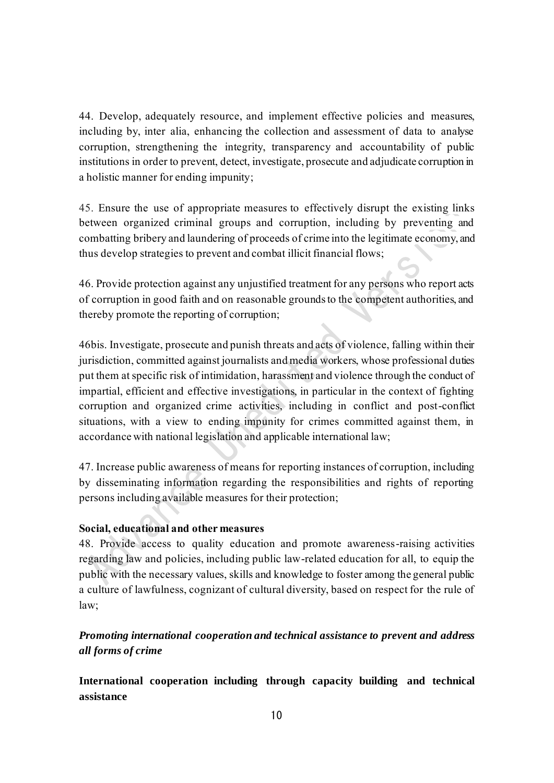44. Develop, adequately resource, and implement effective policies and measures, including by, inter alia, enhancing the collection and assessment of data to analyse corruption, strengthening the integrity, transparency and accountability of public institutions in order to prevent, detect, investigate, prosecute and adjudicate corruption in a holistic manner for ending impunity;

45. Ensure the use of appropriate measures to effectively disrupt the existing links between organized criminal groups and corruption, including by preventing and combatting bribery and laundering of proceeds of crime into the legitimate economy, and thus develop strategies to prevent and combat illicit financial flows;

46. Provide protection against any unjustified treatment for any persons who report acts of corruption in good faith and on reasonable grounds to the competent authorities, and thereby promote the reporting of corruption;

46bis. Investigate, prosecute and punish threats and acts of violence, falling within their jurisdiction, committed against journalists and media workers, whose professional duties put them at specific risk of intimidation, harassment and violence through the conduct of impartial, efficient and effective investigations, in particular in the context of fighting corruption and organized crime activities, including in conflict and post-conflict situations, with a view to ending impunity for crimes committed against them, in accordance with national legislation and applicable international law;

47. Increase public awareness of means for reporting instances of corruption, including by disseminating information regarding the responsibilities and rights of reporting persons including available measures for their protection;

## **Social, educational and other measures**

48. Provide access to quality education and promote awareness-raising activities regarding law and policies, including public law-related education for all, to equip the public with the necessary values, skills and knowledge to foster among the general public a culture of lawfulness, cognizant of cultural diversity, based on respect for the rule of law;

# *Promoting international cooperation and technical assistance to prevent and address all forms of crime*

**International cooperation including through capacity building and technical assistance**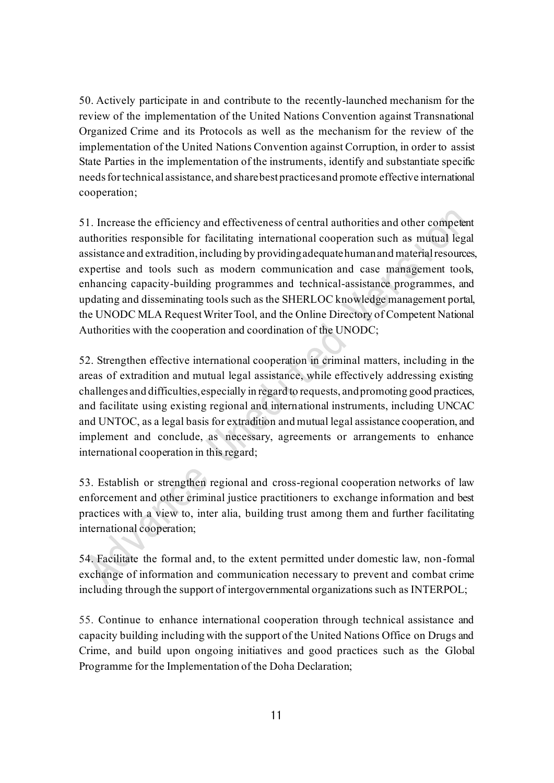50. Actively participate in and contribute to the recently-launched mechanism for the review of the implementation of the United Nations Convention against Transnational Organized Crime and its Protocols as well as the mechanism for the review of the implementation of the United Nations Convention against Corruption, in order to assist State Parties in the implementation of the instruments, identify and substantiate specific needs for technical assistance, and share best practices and promote effective international cooperation;

51. Increase the efficiency and effectiveness of central authorities and other competent authorities responsible for facilitating international cooperation such as mutual legal assistance and extradition, including by providing adequate human and material resources, expertise and tools such as modern communication and case management tools, enhancing capacity-building programmes and technical-assistance programmes, and updating and disseminating tools such as the SHERLOC knowledge management portal, the UNODC MLA Request Writer Tool, and the Online Directory of Competent National Authorities with the cooperation and coordination of the UNODC;

52. Strengthen effective international cooperation in criminal matters, including in the areas of extradition and mutual legal assistance, while effectively addressing existing challenges and difficulties, especially in regard to requests, and promoting good practices, and facilitate using existing regional and international instruments, including UNCAC and UNTOC, as a legal basis for extradition and mutual legal assistance cooperation, and implement and conclude, as necessary, agreements or arrangements to enhance international cooperation in this regard;

53. Establish or strengthen regional and cross-regional cooperation networks of law enforcement and other criminal justice practitioners to exchange information and best practices with a view to, inter alia, building trust among them and further facilitating international cooperation;

54. Facilitate the formal and, to the extent permitted under domestic law, non-formal exchange of information and communication necessary to prevent and combat crime including through the support of intergovernmental organizations such as INTERPOL;

55. Continue to enhance international cooperation through technical assistance and capacity building including with the support of the United Nations Office on Drugs and Crime, and build upon ongoing initiatives and good practices such as the Global Programme for the Implementation of the Doha Declaration;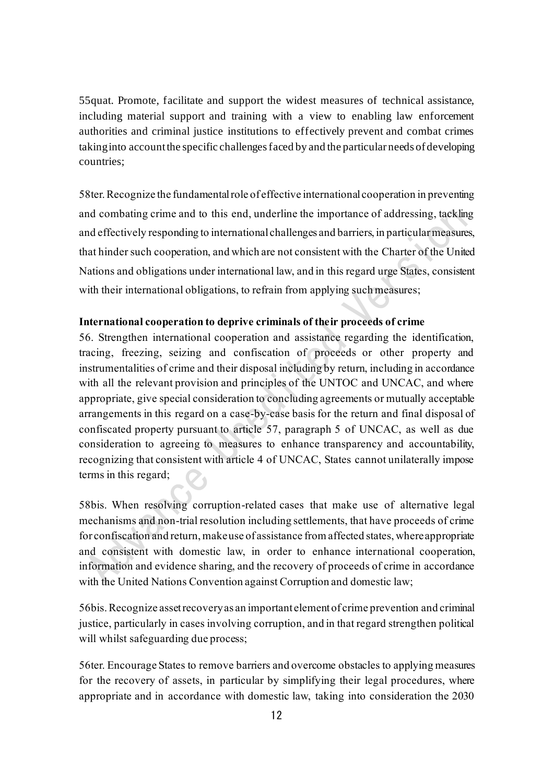55quat. Promote, facilitate and support the widest measures of technical assistance, including material support and training with a view to enabling law enforcement authorities and criminal justice institutions to effectively prevent and combat crimes taking into account the specific challenges faced by and the particular needs of developing countries;

58ter.Recognize the fundamental role of effective international cooperation in preventing and combating crime and to this end, underline the importance of addressing, tackling and effectively responding to international challenges and barriers, in particular measures, that hinder such cooperation, and which are not consistent with the Charter of the United Nations and obligations under international law, and in this regard urge States, consistent with their international obligations, to refrain from applying such measures;

## **International cooperation to deprive criminals of their proceeds of crime**

56. Strengthen international cooperation and assistance regarding the identification, tracing, freezing, seizing and confiscation of proceeds or other property and instrumentalities of crime and their disposal including by return, including in accordance with all the relevant provision and principles of the UNTOC and UNCAC, and where appropriate, give special consideration to concluding agreements or mutually acceptable arrangements in this regard on a case-by-case basis for the return and final disposal of confiscated property pursuant to article 57, paragraph 5 of UNCAC, as well as due consideration to agreeing to measures to enhance transparency and accountability, recognizing that consistent with article 4 of UNCAC, States cannot unilaterally impose terms in this regard;

58bis. When resolving corruption-related cases that make use of alternative legal mechanisms and non-trial resolution including settlements, that have proceeds of crime for confiscation and return, make use of assistance from affected states, where appropriate and consistent with domestic law, in order to enhance international cooperation, information and evidence sharing, and the recovery of proceeds of crime in accordance with the United Nations Convention against Corruption and domestic law;

56bis.Recognize asset recovery as an important element of crime prevention and criminal justice, particularly in cases involving corruption, and in that regard strengthen political will whilst safeguarding due process;

56ter. Encourage States to remove barriers and overcome obstacles to applying measures for the recovery of assets, in particular by simplifying their legal procedures, where appropriate and in accordance with domestic law, taking into consideration the 2030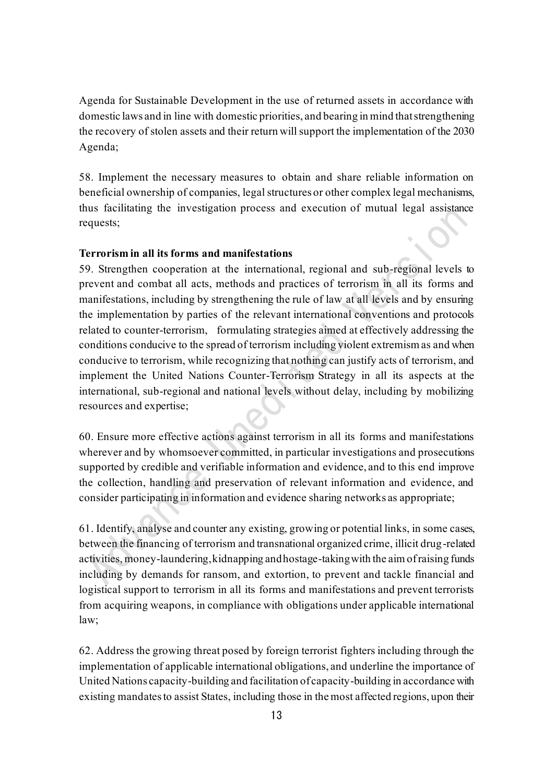Agenda for Sustainable Development in the use of returned assets in accordance with domestic laws and in line with domestic priorities, and bearing in mind that strengthening the recovery of stolen assets and their return will support the implementation of the 2030 Agenda;

58. Implement the necessary measures to obtain and share reliable information on beneficial ownership of companies, legal structures or other complex legal mechanisms, thus facilitating the investigation process and execution of mutual legal assistance requests;

### **Terrorism in all its forms and manifestations**

59. Strengthen cooperation at the international, regional and sub-regional levels to prevent and combat all acts, methods and practices of terrorism in all its forms and manifestations, including by strengthening the rule of law at all levels and by ensuring the implementation by parties of the relevant international conventions and protocols related to counter-terrorism, formulating strategies aimed at effectively addressing the conditions conducive to the spread of terrorism including violent extremism as and when conducive to terrorism, while recognizing that nothing can justify acts of terrorism, and implement the United Nations Counter-Terrorism Strategy in all its aspects at the international, sub-regional and national levels without delay, including by mobilizing resources and expertise;

60. Ensure more effective actions against terrorism in all its forms and manifestations wherever and by whomsoever committed, in particular investigations and prosecutions supported by credible and verifiable information and evidence, and to this end improve the collection, handling and preservation of relevant information and evidence, and consider participating in information and evidence sharing networks as appropriate;

61. Identify, analyse and counter any existing, growing or potential links, in some cases, between the financing of terrorism and transnational organized crime, illicit drug-related activities, money-laundering, kidnapping and hostage-taking with the aim of raising funds including by demands for ransom, and extortion, to prevent and tackle financial and logistical support to terrorism in all its forms and manifestations and prevent terrorists from acquiring weapons, in compliance with obligations under applicable international law;

62. Address the growing threat posed by foreign terrorist fighters including through the implementation of applicable international obligations, and underline the importance of United Nations capacity-building and facilitation of capacity-building in accordance with existing mandates to assist States, including those in the most affected regions, upon their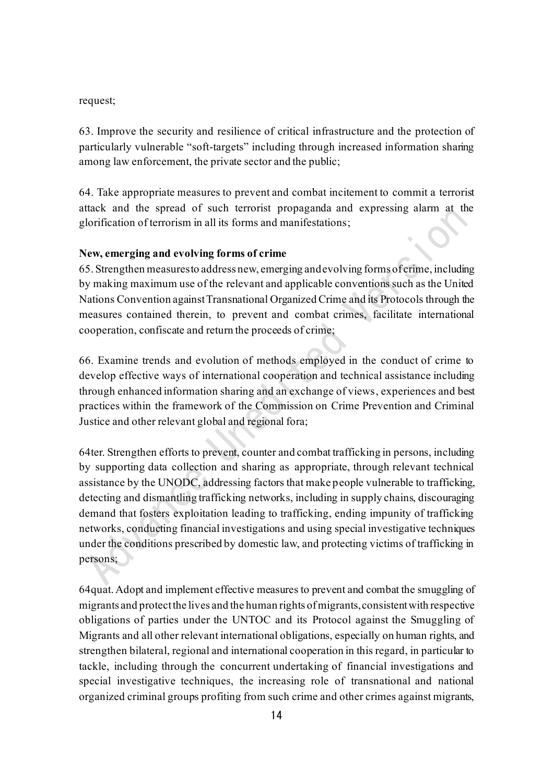#### request;

63. Improve the security and resilience of critical infrastructure and the protection of particularly vulnerable "soft-targets" including through increased information sharing among law enforcement, the private sector and the public;

64. Take appropriate measures to prevent and combat incitement to commit a terrorist attack and the spread of such terrorist propaganda and expressing alarm at the glorification of terrorism in all its forms and manifestations;

### **New, emerging and evolving forms of crime**

65. Strengthen measures to address new, emerging and evolving forms of crime, including by making maximum use of the relevant and applicable conventions such as the United Nations Convention against Transnational Organized Crime and its Protocols through the measures contained therein, to prevent and combat crimes, facilitate international cooperation, confiscate and return the proceeds of crime;

66. Examine trends and evolution of methods employed in the conduct of crime to develop effective ways of international cooperation and technical assistance including through enhanced information sharing and an exchange of views, experiences and best practices within the framework of the Commission on Crime Prevention and Criminal Justice and other relevant global and regional fora;

64ter. Strengthen efforts to prevent, counter and combat trafficking in persons, including by supporting data collection and sharing as appropriate, through relevant technical assistance by the UNODC, addressing factors that make people vulnerable to trafficking, detecting and dismantling trafficking networks, including in supply chains, discouraging demand that fosters exploitation leading to trafficking, ending impunity of trafficking networks, conducting financial investigations and using special investigative techniques under the conditions prescribed by domestic law, and protecting victims of trafficking in persons;

64quat. Adopt and implement effective measures to prevent and combat the smuggling of migrants and protect the lives and the human rights of migrants, consistent with respective obligations of parties under the UNTOC and its Protocol against the Smuggling of Migrants and all other relevant international obligations, especially on human rights, and strengthen bilateral, regional and international cooperation in this regard, in particular to tackle, including through the concurrent undertaking of financial investigations and special investigative techniques, the increasing role of transnational and national organized criminal groups profiting from such crime and other crimes against migrants,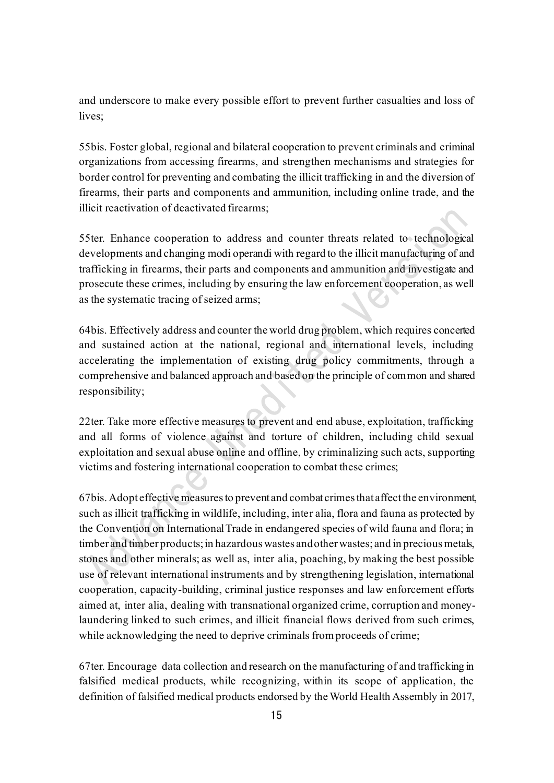and underscore to make every possible effort to prevent further casualties and loss of lives;

55bis. Foster global, regional and bilateral cooperation to prevent criminals and criminal organizations from accessing firearms, and strengthen mechanisms and strategies for border control for preventing and combating the illicit trafficking in and the diversion of firearms, their parts and components and ammunition, including online trade, and the illicit reactivation of deactivated firearms;

55ter. Enhance cooperation to address and counter threats related to technological developments and changing modi operandi with regard to the illicit manufacturing of and trafficking in firearms, their parts and components and ammunition and investigate and prosecute these crimes, including by ensuring the law enforcement cooperation, as well as the systematic tracing of seized arms;

64bis. Effectively address and counter the world drug problem, which requires concerted and sustained action at the national, regional and international levels, including accelerating the implementation of existing drug policy commitments, through a comprehensive and balanced approach and based on the principle of common and shared responsibility;

22ter. Take more effective measures to prevent and end abuse, exploitation, trafficking and all forms of violence against and torture of children, including child sexual exploitation and sexual abuse online and offline, by criminalizing such acts, supporting victims and fostering international cooperation to combat these crimes;

67bis. Adopt effective measures to prevent and combat crimes that affect the environment, such as illicit trafficking in wildlife, including, inter alia, flora and fauna as protected by the Convention on International Trade in endangered species of wild fauna and flora; in timber and timber products; in hazardous wastes and other wastes; and in precious metals, stones and other minerals; as well as, inter alia, poaching, by making the best possible use of relevant international instruments and by strengthening legislation, international cooperation, capacity-building, criminal justice responses and law enforcement efforts aimed at, inter alia, dealing with transnational organized crime, corruption and moneylaundering linked to such crimes, and illicit financial flows derived from such crimes, while acknowledging the need to deprive criminals from proceeds of crime;

67ter. Encourage data collection and research on the manufacturing of and trafficking in falsified medical products, while recognizing, within its scope of application, the definition of falsified medical products endorsed by the World Health Assembly in 2017,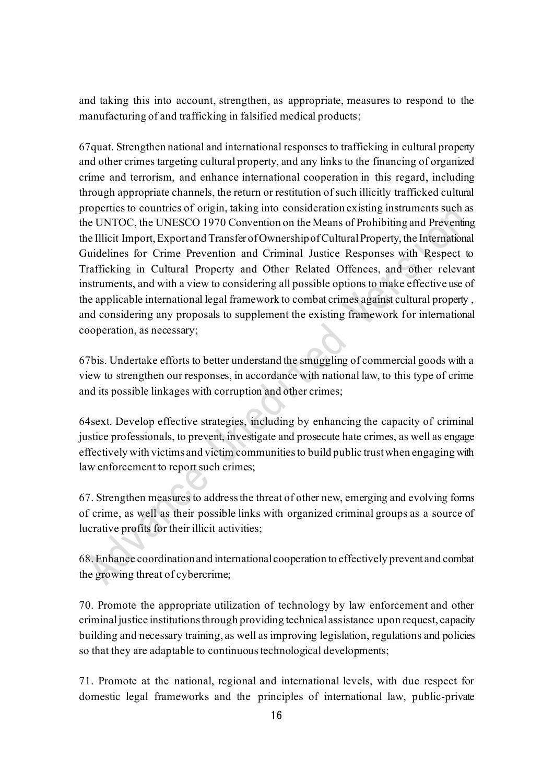and taking this into account, strengthen, as appropriate, measures to respond to the manufacturing of and trafficking in falsified medical products;

67quat. Strengthen national and international responses to trafficking in cultural property and other crimes targeting cultural property, and any links to the financing of organized crime and terrorism, and enhance international cooperation in this regard, including through appropriate channels, the return or restitution of such illicitly trafficked cultural properties to countries of origin, taking into consideration existing instruments such as the UNTOC, the UNESCO 1970 Convention on the Means of Prohibiting and Preventing the Illicit Import, Export and Transfer of Ownership of Cultural Property, the International Guidelines for Crime Prevention and Criminal Justice Responses with Respect to Trafficking in Cultural Property and Other Related Offences, and other relevant instruments, and with a view to considering all possible options to make effective use of the applicable international legal framework to combat crimes against cultural property , and considering any proposals to supplement the existing framework for international cooperation, as necessary;

67bis. Undertake efforts to better understand the smuggling of commercial goods with a view to strengthen our responses, in accordance with national law, to this type of crime and its possible linkages with corruption and other crimes;

64sext. Develop effective strategies, including by enhancing the capacity of criminal justice professionals, to prevent, investigate and prosecute hate crimes, as well as engage effectively with victims and victim communities to build public trust when engaging with law enforcement to report such crimes;

67. Strengthen measures to address the threat of other new, emerging and evolving forms of crime, as well as their possible links with organized criminal groups as a source of lucrative profits for their illicit activities;

68. Enhance coordination and international cooperation to effectively prevent and combat the growing threat of cybercrime;

70. Promote the appropriate utilization of technology by law enforcement and other criminal justice institutions through providing technical assistance upon request, capacity building and necessary training, as well as improving legislation, regulations and policies so that they are adaptable to continuous technological developments;

71. Promote at the national, regional and international levels, with due respect for domestic legal frameworks and the principles of international law, public-private